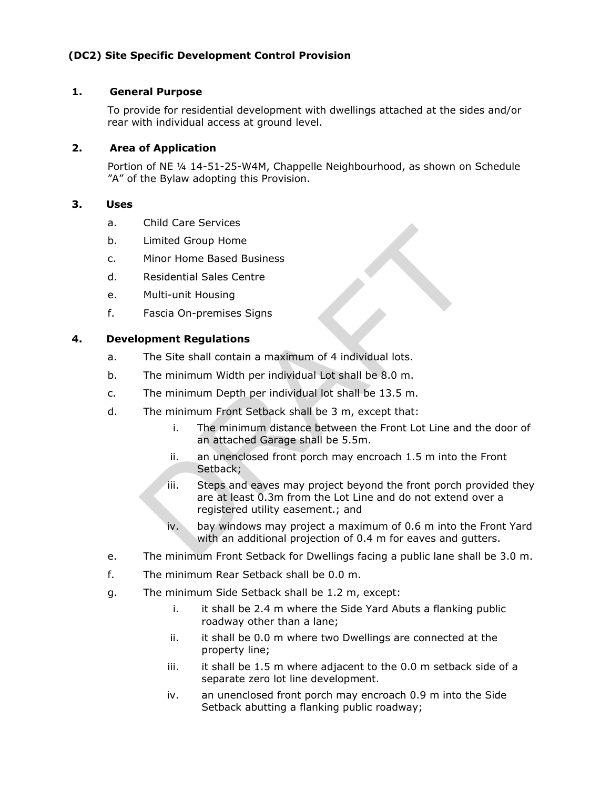# **(DC2) Site Specific Development Control Provision**

### **1. General Purpose**

To provide for residential development with dwellings attached at the sides and/or rear with individual access at ground level.

### **2. Area of Application**

Portion of NE ¼ 14-51-25-W4M, Chappelle Neighbourhood, as shown on Schedule "A" of the Bylaw adopting this Provision.

# **3. Uses**

- a. Child Care Services
- b. Limited Group Home
- c. Minor Home Based Business
- d. Residential Sales Centre
- e. Multi-unit Housing
- f. Fascia On-premises Signs

# **4. Development Regulations**

- a. The Site shall contain a maximum of 4 individual lots.
- b. The minimum Width per individual Lot shall be 8.0 m.
- c. The minimum Depth per individual lot shall be 13.5 m.
- d. The minimum Front Setback shall be 3 m, except that:
	- i. The minimum distance between the Front Lot Line and the door of an attached Garage shall be 5.5m.
	- ii. an unenclosed front porch may encroach 1.5 m into the Front Setback;
- iii. Steps and eaves may project beyond the front porch provided they are at least 0.3m from the Lot Line and do not extend over a registered utility easement.; and Limited Group Home<br>
Minor Home Based Business<br>
Residential Sales Centre<br>
Multi-unit Housing<br>
Fascia On-premises Signs<br> **opment Regulations**<br>
The Site shall contain a maximum of 4 individual lots.<br>
The minimum Width per ind
	- iv. bay windows may project a maximum of 0.6 m into the Front Yard with an additional projection of 0.4 m for eaves and gutters.
- e. The minimum Front Setback for Dwellings facing a public lane shall be 3.0 m.
- f. The minimum Rear Setback shall be 0.0 m.
- g. The minimum Side Setback shall be 1.2 m, except:
	- i. it shall be 2.4 m where the Side Yard Abuts a flanking public roadway other than a lane;
	- ii. it shall be 0.0 m where two Dwellings are connected at the property line;
	- iii. it shall be 1.5 m where adjacent to the 0.0 m setback side of a separate zero lot line development.
	- iv. an unenclosed front porch may encroach 0.9 m into the Side Setback abutting a flanking public roadway;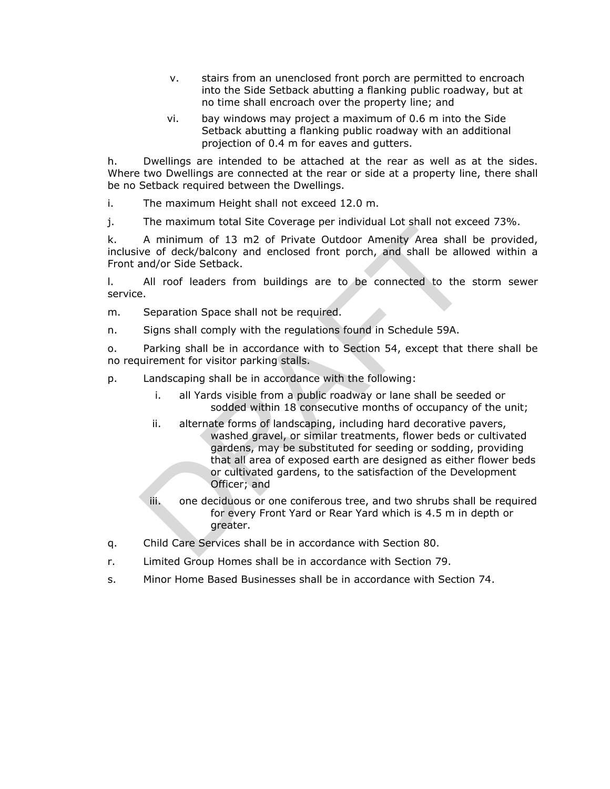- v. stairs from an unenclosed front porch are permitted to encroach into the Side Setback abutting a flanking public roadway, but at no time shall encroach over the property line; and
- vi. bay windows may project a maximum of 0.6 m into the Side Setback abutting a flanking public roadway with an additional projection of 0.4 m for eaves and gutters.

h. Dwellings are intended to be attached at the rear as well as at the sides. Where two Dwellings are connected at the rear or side at a property line, there shall be no Setback required between the Dwellings.

i. The maximum Height shall not exceed 12.0 m.

j. The maximum total Site Coverage per individual Lot shall not exceed 73%.

k. A minimum of 13 m2 of Private Outdoor Amenity Area shall be provided, inclusive of deck/balcony and enclosed front porch, and shall be allowed within a Front and/or Side Setback.

l. All roof leaders from buildings are to be connected to the storm sewer service.

m. Separation Space shall not be required.

n. Signs shall comply with the regulations found in Schedule 59A.

o. Parking shall be in accordance with to Section 54, except that there shall be no requirement for visitor parking stalls.

p. Landscaping shall be in accordance with the following:

- i. all Yards visible from a public roadway or lane shall be seeded or sodded within 18 consecutive months of occupancy of the unit;
- ii. alternate forms of landscaping, including hard decorative pavers, washed gravel, or similar treatments, flower beds or cultivated gardens, may be substituted for seeding or sodding, providing that all area of exposed earth are designed as either flower beds or cultivated gardens, to the satisfaction of the Development Officer; and The must manned of 13 m2 of Private Cutcheye Preminium of a minimum of 13 m2 of Private Cutdoor Amenity Area shall be per vero deck/balcony and enclosed front porch, and shall be allowed and/or Side Setback.<br>
All roof lead
	- iii. one deciduous or one coniferous tree, and two shrubs shall be required for every Front Yard or Rear Yard which is 4.5 m in depth or greater.
- q. Child Care Services shall be in accordance with Section 80.
- r. Limited Group Homes shall be in accordance with Section 79.
- s. Minor Home Based Busine sses shall be in accordance with Section 74.